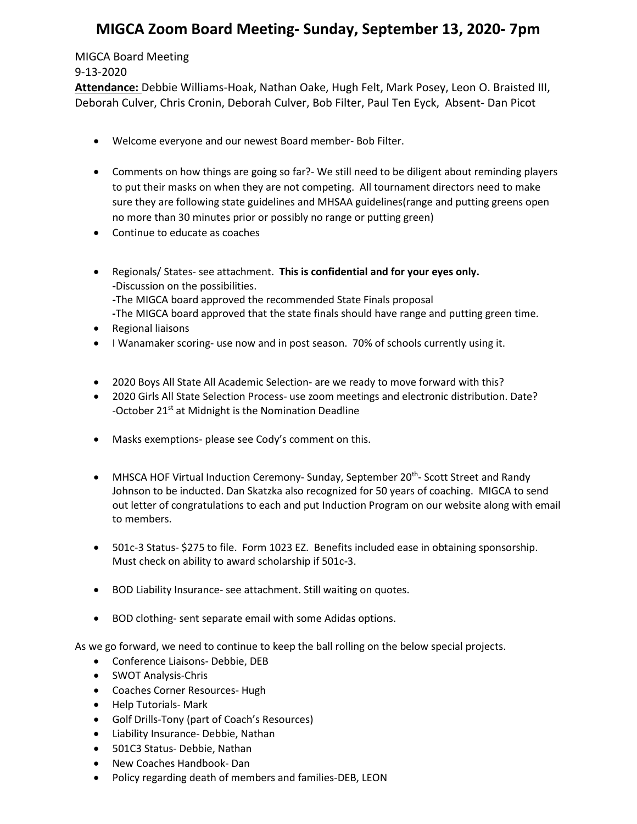## **MIGCA Zoom Board Meeting- Sunday, September 13, 2020- 7pm**

## MIGCA Board Meeting 9-13-2020

**Attendance:** Debbie Williams-Hoak, Nathan Oake, Hugh Felt, Mark Posey, Leon O. Braisted III, Deborah Culver, Chris Cronin, Deborah Culver, Bob Filter, Paul Ten Eyck, Absent- Dan Picot

- Welcome everyone and our newest Board member- Bob Filter.
- Comments on how things are going so far?- We still need to be diligent about reminding players to put their masks on when they are not competing. All tournament directors need to make sure they are following state guidelines and MHSAA guidelines(range and putting greens open no more than 30 minutes prior or possibly no range or putting green)
- Continue to educate as coaches
- Regionals/ States- see attachment. **This is confidential and for your eyes only. -**Discussion on the possibilities. **-**The MIGCA board approved the recommended State Finals proposal **-**The MIGCA board approved that the state finals should have range and putting green time.
- Regional liaisons
- I Wanamaker scoring- use now and in post season. 70% of schools currently using it.
- 2020 Boys All State All Academic Selection- are we ready to move forward with this?
- 2020 Girls All State Selection Process- use zoom meetings and electronic distribution. Date? -October 21<sup>st</sup> at Midnight is the Nomination Deadline
- Masks exemptions- please see Cody's comment on this.
- MHSCA HOF Virtual Induction Ceremony- Sunday, September 20<sup>th</sup>- Scott Street and Randy Johnson to be inducted. Dan Skatzka also recognized for 50 years of coaching. MIGCA to send out letter of congratulations to each and put Induction Program on our website along with email to members.
- 501c-3 Status- \$275 to file. Form 1023 EZ. Benefits included ease in obtaining sponsorship. Must check on ability to award scholarship if 501c-3.
- BOD Liability Insurance- see attachment. Still waiting on quotes.
- BOD clothing- sent separate email with some Adidas options.

As we go forward, we need to continue to keep the ball rolling on the below special projects.

- Conference Liaisons- Debbie, DEB
- SWOT Analysis-Chris
- Coaches Corner Resources- Hugh
- Help Tutorials- Mark
- Golf Drills-Tony (part of Coach's Resources)
- Liability Insurance- Debbie, Nathan
- 501C3 Status- Debbie, Nathan
- New Coaches Handbook- Dan
- Policy regarding death of members and families-DEB, LEON